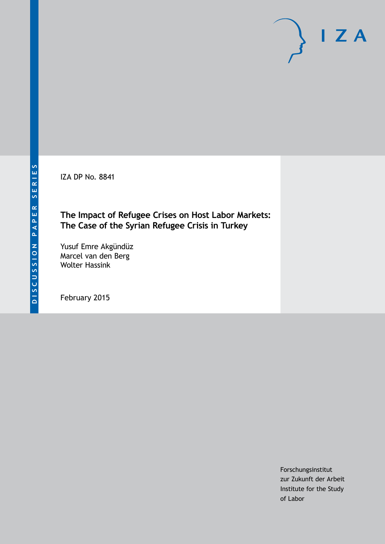IZA DP No. 8841

### **The Impact of Refugee Crises on Host Labor Markets: The Case of the Syrian Refugee Crisis in Turkey**

Yusuf Emre Akgündüz Marcel van den Berg Wolter Hassink

February 2015

Forschungsinstitut zur Zukunft der Arbeit Institute for the Study of Labor

 $I Z A$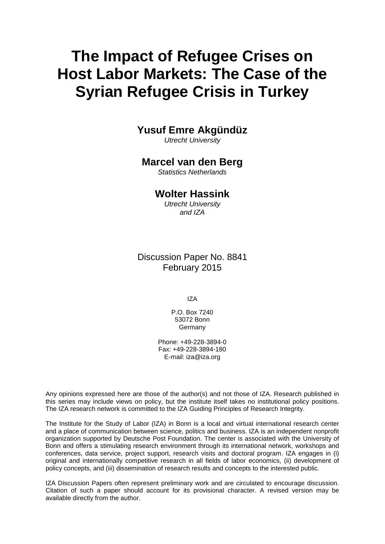# **The Impact of Refugee Crises on Host Labor Markets: The Case of the Syrian Refugee Crisis in Turkey**

## **Yusuf Emre Akgündüz**

*Utrecht University*

#### **Marcel van den Berg**

*Statistics Netherlands*

#### **Wolter Hassink**

*Utrecht University and IZA*

### Discussion Paper No. 8841 February 2015

IZA

P.O. Box 7240 53072 Bonn **Germany** 

Phone: +49-228-3894-0 Fax: +49-228-3894-180 E-mail: [iza@iza.org](mailto:iza@iza.org)

Any opinions expressed here are those of the author(s) and not those of IZA. Research published in this series may include views on policy, but the institute itself takes no institutional policy positions. The IZA research network is committed to the IZA Guiding Principles of Research Integrity.

The Institute for the Study of Labor (IZA) in Bonn is a local and virtual international research center and a place of communication between science, politics and business. IZA is an independent nonprofit organization supported by Deutsche Post Foundation. The center is associated with the University of Bonn and offers a stimulating research environment through its international network, workshops and conferences, data service, project support, research visits and doctoral program. IZA engages in (i) original and internationally competitive research in all fields of labor economics, (ii) development of policy concepts, and (iii) dissemination of research results and concepts to the interested public.

<span id="page-1-0"></span>IZA Discussion Papers often represent preliminary work and are circulated to encourage discussion. Citation of such a paper should account for its provisional character. A revised version may be available directly from the author.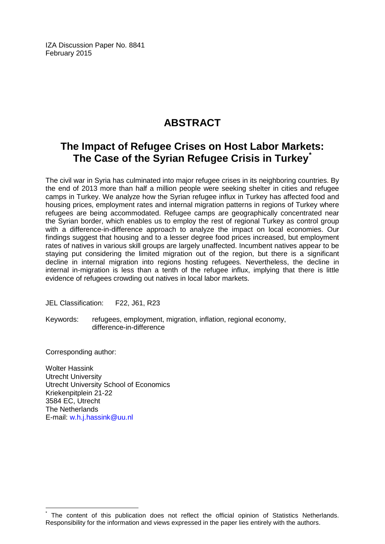IZA Discussion Paper No. 8841 February 2015

## **ABSTRACT**

## **The Impact of Refugee Crises on Host Labor Markets: The Case of the Syrian Refugee Crisis in Turkey[\\*](#page-1-0)**

The civil war in Syria has culminated into major refugee crises in its neighboring countries. By the end of 2013 more than half a million people were seeking shelter in cities and refugee camps in Turkey. We analyze how the Syrian refugee influx in Turkey has affected food and housing prices, employment rates and internal migration patterns in regions of Turkey where refugees are being accommodated. Refugee camps are geographically concentrated near the Syrian border, which enables us to employ the rest of regional Turkey as control group with a difference-in-difference approach to analyze the impact on local economies. Our findings suggest that housing and to a lesser degree food prices increased, but employment rates of natives in various skill groups are largely unaffected. Incumbent natives appear to be staying put considering the limited migration out of the region, but there is a significant decline in internal migration into regions hosting refugees. Nevertheless, the decline in internal in-migration is less than a tenth of the refugee influx, implying that there is little evidence of refugees crowding out natives in local labor markets.

JEL Classification: F22, J61, R23

Keywords: refugees, employment, migration, inflation, regional economy, difference-in-difference

Corresponding author:

Wolter Hassink Utrecht University Utrecht University School of Economics Kriekenpitplein 21-22 3584 EC, Utrecht The Netherlands E-mail: [w.h.j.hassink@uu.nl](mailto:w.h.j.hassink@uu.nl)

The content of this publication does not reflect the official opinion of Statistics Netherlands. Responsibility for the information and views expressed in the paper lies entirely with the authors.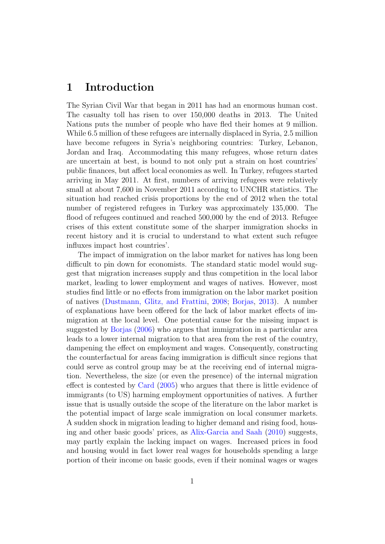## 1 Introduction

The Syrian Civil War that began in 2011 has had an enormous human cost. The casualty toll has risen to over 150,000 deaths in 2013. The United Nations puts the number of people who have fled their homes at 9 million. While 6.5 million of these refugees are internally displaced in Syria, 2.5 million have become refugees in Syria's neighboring countries: Turkey, Lebanon, Jordan and Iraq. Accommodating this many refugees, whose return dates are uncertain at best, is bound to not only put a strain on host countries' public finances, but affect local economies as well. In Turkey, refugees started arriving in May 2011. At first, numbers of arriving refugees were relatively small at about 7,600 in November 2011 according to UNCHR statistics. The situation had reached crisis proportions by the end of 2012 when the total number of registered refugees in Turkey was approximately 135,000. The flood of refugees continued and reached 500,000 by the end of 2013. Refugee crises of this extent constitute some of the sharper immigration shocks in recent history and it is crucial to understand to what extent such refugee influxes impact host countries'.

The impact of immigration on the labor market for natives has long been difficult to pin down for economists. The standard static model would suggest that migration increases supply and thus competition in the local labor market, leading to lower employment and wages of natives. However, most studies find little or no effects from immigration on the labor market position of natives [\(Dustmann, Glitz, and Frattini,](#page-22-0) [2008;](#page-22-0) [Borjas,](#page-21-0) [2013\)](#page-21-0). A number of explanations have been offered for the lack of labor market effects of immigration at the local level. One potential cause for the missing impact is suggested by [Borjas](#page-21-1) [\(2006\)](#page-21-1) who argues that immigration in a particular area leads to a lower internal migration to that area from the rest of the country, dampening the effect on employment and wages. Consequently, constructing the counterfactual for areas facing immigration is difficult since regions that could serve as control group may be at the receiving end of internal migration. Nevertheless, the size (or even the presence) of the internal migration effect is contested by [Card](#page-21-2) [\(2005\)](#page-21-2) who argues that there is little evidence of immigrants (to US) harming employment opportunities of natives. A further issue that is usually outside the scope of the literature on the labor market is the potential impact of large scale immigration on local consumer markets. A sudden shock in migration leading to higher demand and rising food, housing and other basic goods' prices, as [Alix-Garcia and Saah](#page-21-3) [\(2010\)](#page-21-3) suggests, may partly explain the lacking impact on wages. Increased prices in food and housing would in fact lower real wages for households spending a large portion of their income on basic goods, even if their nominal wages or wages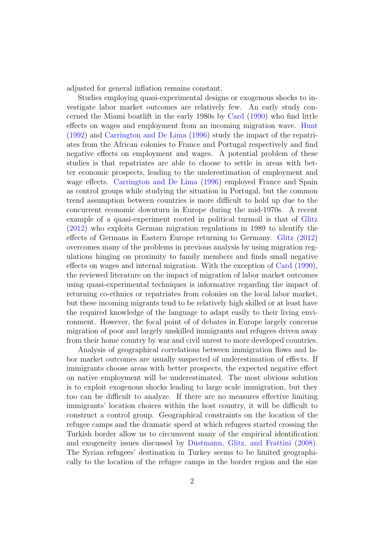adjusted for general inflation remains constant.

Studies employing quasi-experimental designs or exogenous shocks to investigate labor market outcomes are relatively few. An early study concerned the Miami boatlift in the early 1980s by [Card](#page-21-4) [\(1990\)](#page-21-4) who find little effects on wages and employment from an incoming migration wave. [Hunt](#page-23-0) [\(1992\)](#page-23-0) and [Carrington and De Lima](#page-22-1) [\(1996\)](#page-22-1) study the impact of the repatriates from the African colonies to France and Portugal respectively and find negative effects on employment and wages. A potential problem of these studies is that repatriates are able to choose to settle in areas with better economic prospects, leading to the underestimation of employment and wage effects. [Carrington and De Lima](#page-22-1) [\(1996\)](#page-22-1) employed France and Spain as control groups while studying the situation in Portugal, but the common trend assumption between countries is more difficult to hold up due to the concurrent economic downturn in Europe during the mid-1970s. A recent example of a quasi-experiment rooted in political turmoil is that of [Glitz](#page-22-2) [\(2012\)](#page-22-2) who exploits German migration regulations in 1989 to identify the effects of Germans in Eastern Europe returning to Germany. [Glitz](#page-22-2) [\(2012\)](#page-22-2) overcomes many of the problems in previous analysis by using migration regulations hinging on proximity to family members and finds small negative effects on wages and internal migration. With the exception of [Card](#page-21-4) [\(1990\)](#page-21-4), the reviewed literature on the impact of migration of labor market outcomes using quasi-experimental techniques is informative regarding the impact of returning co-ethnics or repatriates from colonies on the local labor market, but these incoming migrants tend to be relatively high skilled or at least have the required knowledge of the language to adapt easily to their living environment. However, the focal point of of debates in Europe largely concerns migration of poor and largely unskilled immigrants and refugees driven away from their home country by war and civil unrest to more developed countries.

Analysis of geographical correlations between immigration flows and labor market outcomes are usually suspected of underestimation of effects. If immigrants choose areas with better prospects, the expected negative effect on native employment will be underestimated. The most obvious solution is to exploit exogenous shocks leading to large scale immigration, but they too can be difficult to analyze. If there are no measures effective limiting immigrants' location choices within the host country, it will be difficult to construct a control group. Geographical constraints on the location of the refugee camps and the dramatic speed at which refugees started crossing the Turkish border allow us to circumvent many of the empirical identification and exogeneity issues discussed by [Dustmann, Glitz, and Frattini](#page-22-0) [\(2008\)](#page-22-0). The Syrian refugees' destination in Turkey seems to be limited geographically to the location of the refugee camps in the border region and the size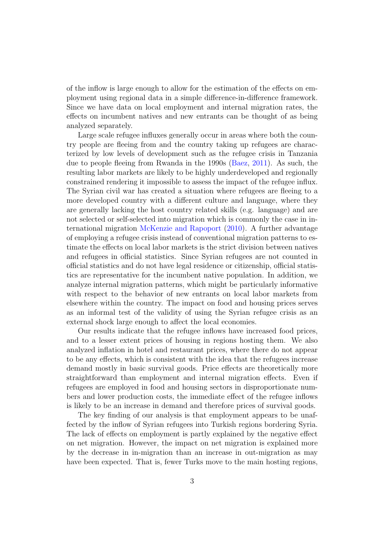of the inflow is large enough to allow for the estimation of the effects on employment using regional data in a simple difference-in-difference framework. Since we have data on local employment and internal migration rates, the effects on incumbent natives and new entrants can be thought of as being analyzed separately.

Large scale refugee influxes generally occur in areas where both the country people are fleeing from and the country taking up refugees are characterized by low levels of development such as the refugee crisis in Tanzania due to people fleeing from Rwanda in the 1990s [\(Baez,](#page-21-5) [2011\)](#page-21-5). As such, the resulting labor markets are likely to be highly underdeveloped and regionally constrained rendering it impossible to assess the impact of the refugee influx. The Syrian civil war has created a situation where refugees are fleeing to a more developed country with a different culture and language, where they are generally lacking the host country related skills (e.g. language) and are not selected or self-selected into migration which is commonly the case in international migration [McKenzie and Rapoport](#page-23-1) [\(2010\)](#page-23-1). A further advantage of employing a refugee crisis instead of conventional migration patterns to estimate the effects on local labor markets is the strict division between natives and refugees in official statistics. Since Syrian refugees are not counted in official statistics and do not have legal residence or citizenship, official statistics are representative for the incumbent native population. In addition, we analyze internal migration patterns, which might be particularly informative with respect to the behavior of new entrants on local labor markets from elsewhere within the country. The impact on food and housing prices serves as an informal test of the validity of using the Syrian refugee crisis as an external shock large enough to affect the local economies.

Our results indicate that the refugee inflows have increased food prices, and to a lesser extent prices of housing in regions hosting them. We also analyzed inflation in hotel and restaurant prices, where there do not appear to be any effects, which is consistent with the idea that the refugees increase demand mostly in basic survival goods. Price effects are theoretically more straightforward than employment and internal migration effects. Even if refugees are employed in food and housing sectors in disproportionate numbers and lower production costs, the immediate effect of the refugee inflows is likely to be an increase in demand and therefore prices of survival goods.

The key finding of our analysis is that employment appears to be unaffected by the inflow of Syrian refugees into Turkish regions bordering Syria. The lack of effects on employment is partly explained by the negative effect on net migration. However, the impact on net migration is explained more by the decrease in in-migration than an increase in out-migration as may have been expected. That is, fewer Turks move to the main hosting regions,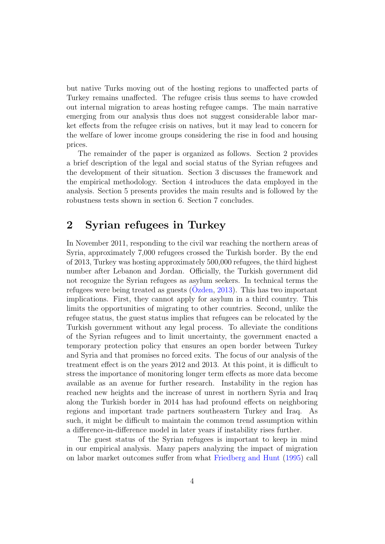but native Turks moving out of the hosting regions to unaffected parts of Turkey remains unaffected. The refugee crisis thus seems to have crowded out internal migration to areas hosting refugee camps. The main narrative emerging from our analysis thus does not suggest considerable labor market effects from the refugee crisis on natives, but it may lead to concern for the welfare of lower income groups considering the rise in food and housing prices.

The remainder of the paper is organized as follows. Section 2 provides a brief description of the legal and social status of the Syrian refugees and the development of their situation. Section 3 discusses the framework and the empirical methodology. Section 4 introduces the data employed in the analysis. Section 5 presents provides the main results and is followed by the robustness tests shown in section 6. Section 7 concludes.

## 2 Syrian refugees in Turkey

In November 2011, responding to the civil war reaching the northern areas of Syria, approximately 7,000 refugees crossed the Turkish border. By the end of 2013, Turkey was hosting approximately 500,000 refugees, the third highest number after Lebanon and Jordan. Officially, the Turkish government did not recognize the Syrian refugees as asylum seekers. In technical terms the refugees were being treated as guests  $(Ozden, 2013)$  $(Ozden, 2013)$  $(Ozden, 2013)$ . This has two important implications. First, they cannot apply for asylum in a third country. This limits the opportunities of migrating to other countries. Second, unlike the refugee status, the guest status implies that refugees can be relocated by the Turkish government without any legal process. To alleviate the conditions of the Syrian refugees and to limit uncertainty, the government enacted a temporary protection policy that ensures an open border between Turkey and Syria and that promises no forced exits. The focus of our analysis of the treatment effect is on the years 2012 and 2013. At this point, it is difficult to stress the importance of monitoring longer term effects as more data become available as an avenue for further research. Instability in the region has reached new heights and the increase of unrest in northern Syria and Iraq along the Turkish border in 2014 has had profound effects on neighboring regions and important trade partners southeastern Turkey and Iraq. As such, it might be difficult to maintain the common trend assumption within a difference-in-difference model in later years if instability rises further.

The guest status of the Syrian refugees is important to keep in mind in our empirical analysis. Many papers analyzing the impact of migration on labor market outcomes suffer from what [Friedberg and Hunt](#page-22-3) [\(1995\)](#page-22-3) call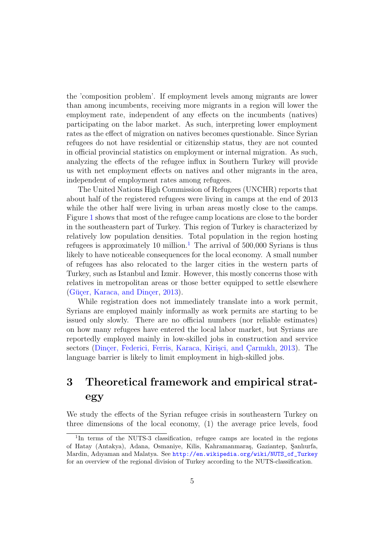the 'composition problem'. If employment levels among migrants are lower than among incumbents, receiving more migrants in a region will lower the employment rate, independent of any effects on the incumbents (natives) participating on the labor market. As such, interpreting lower employment rates as the effect of migration on natives becomes questionable. Since Syrian refugees do not have residential or citizenship status, they are not counted in official provincial statistics on employment or internal migration. As such, analyzing the effects of the refugee influx in Southern Turkey will provide us with net employment effects on natives and other migrants in the area, independent of employment rates among refugees.

The United Nations High Commission of Refugees (UNCHR) reports that about half of the registered refugees were living in camps at the end of 2013 while the other half were living in urban areas mostly close to the camps. Figure [1](#page-8-0) shows that most of the refugee camp locations are close to the border in the southeastern part of Turkey. This region of Turkey is characterized by relatively low population densities. Total population in the region hosting refugees is approximately [1](#page-7-0)0 million.<sup>1</sup> The arrival of  $500,000$  Syrians is thus likely to have noticeable consequences for the local economy. A small number of refugees has also relocated to the larger cities in the western parts of Turkey, such as Istanbul and Izmir. However, this mostly concerns those with relatives in metropolitan areas or those better equipped to settle elsewhere (Güçer, Karaca, and Dinçer, [2013\)](#page-22-4).

While registration does not immediately translate into a work permit, Syrians are employed mainly informally as work permits are starting to be issued only slowly. There are no official numbers (nor reliable estimates) on how many refugees have entered the local labor market, but Syrians are reportedly employed mainly in low-skilled jobs in construction and service sectors (Dinçer, Federici, Ferris, Karaca, Kirişçi, and Çarmıklı, [2013\)](#page-22-5). The language barrier is likely to limit employment in high-skilled jobs.

## 3 Theoretical framework and empirical strategy

We study the effects of the Syrian refugee crisis in southeastern Turkey on three dimensions of the local economy, (1) the average price levels, food

<span id="page-7-0"></span><sup>&</sup>lt;sup>1</sup>In terms of the NUTS-3 classification, refugee camps are located in the regions of Hatay (Antakya), Adana, Osmaniye, Kilis, Kahramanmaraş, Gaziantep, Şanlıurfa, Mardin, Adıyaman and Malatya. See [http://en.wikipedia.org/wiki/NUTS\\_of\\_Turkey](http://en.wikipedia.org/wiki/NUTS_of_Turkey) for an overview of the regional division of Turkey according to the NUTS-classification.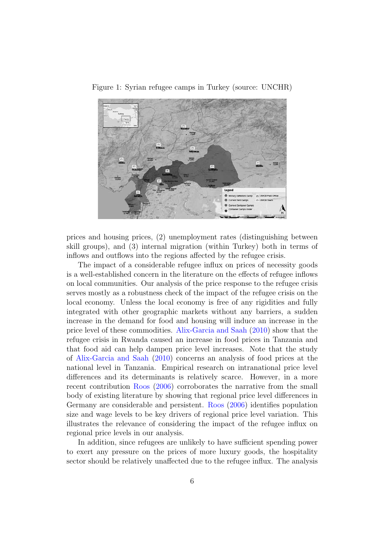<span id="page-8-0"></span>

Figure 1: Syrian refugee camps in Turkey (source: UNCHR)

prices and housing prices, (2) unemployment rates (distinguishing between skill groups), and (3) internal migration (within Turkey) both in terms of inflows and outflows into the regions affected by the refugee crisis.

The impact of a considerable refugee influx on prices of necessity goods is a well-established concern in the literature on the effects of refugee inflows on local communities. Our analysis of the price response to the refugee crisis serves mostly as a robustness check of the impact of the refugee crisis on the local economy. Unless the local economy is free of any rigidities and fully integrated with other geographic markets without any barriers, a sudden increase in the demand for food and housing will induce an increase in the price level of these commodities. [Alix-Garcia and Saah](#page-21-3) [\(2010\)](#page-21-3) show that the refugee crisis in Rwanda caused an increase in food prices in Tanzania and that food aid can help dampen price level increases. Note that the study of [Alix-Garcia and Saah](#page-21-3) [\(2010\)](#page-21-3) concerns an analysis of food prices at the national level in Tanzania. Empirical research on intranational price level differences and its determinants is relatively scarce. However, in a more recent contribution [Roos](#page-23-3) [\(2006\)](#page-23-3) corroborates the narrative from the small body of existing literature by showing that regional price level differences in Germany are considerable and persistent. [Roos](#page-23-3) [\(2006\)](#page-23-3) identifies population size and wage levels to be key drivers of regional price level variation. This illustrates the relevance of considering the impact of the refugee influx on regional price levels in our analysis.

In addition, since refugees are unlikely to have sufficient spending power to exert any pressure on the prices of more luxury goods, the hospitality sector should be relatively unaffected due to the refugee influx. The analysis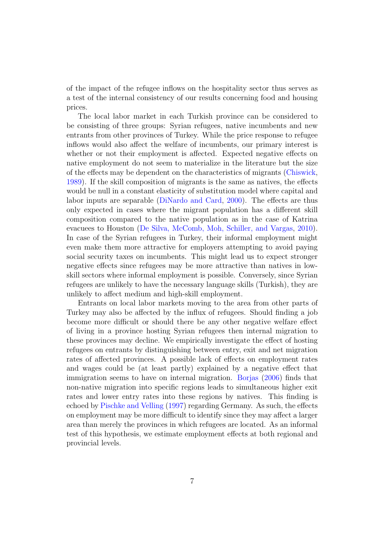of the impact of the refugee inflows on the hospitality sector thus serves as a test of the internal consistency of our results concerning food and housing prices.

The local labor market in each Turkish province can be considered to be consisting of three groups: Syrian refugees, native incumbents and new entrants from other provinces of Turkey. While the price response to refugee inflows would also affect the welfare of incumbents, our primary interest is whether or not their employment is affected. Expected negative effects on native employment do not seem to materialize in the literature but the size of the effects may be dependent on the characteristics of migrants [\(Chiswick,](#page-22-6) [1989\)](#page-22-6). If the skill composition of migrants is the same as natives, the effects would be null in a constant elasticity of substitution model where capital and labor inputs are separable [\(DiNardo and Card,](#page-22-7) [2000\)](#page-22-7). The effects are thus only expected in cases where the migrant population has a different skill composition compared to the native population as in the case of Katrina evacuees to Houston [\(De Silva, McComb, Moh, Schiller, and Vargas,](#page-22-8) [2010\)](#page-22-8). In case of the Syrian refugees in Turkey, their informal employment might even make them more attractive for employers attempting to avoid paying social security taxes on incumbents. This might lead us to expect stronger negative effects since refugees may be more attractive than natives in lowskill sectors where informal employment is possible. Conversely, since Syrian refugees are unlikely to have the necessary language skills (Turkish), they are unlikely to affect medium and high-skill employment.

Entrants on local labor markets moving to the area from other parts of Turkey may also be affected by the influx of refugees. Should finding a job become more difficult or should there be any other negative welfare effect of living in a province hosting Syrian refugees then internal migration to these provinces may decline. We empirically investigate the effect of hosting refugees on entrants by distinguishing between entry, exit and net migration rates of affected provinces. A possible lack of effects on employment rates and wages could be (at least partly) explained by a negative effect that immigration seems to have on internal migration. [Borjas](#page-21-1) [\(2006\)](#page-21-1) finds that non-native migration into specific regions leads to simultaneous higher exit rates and lower entry rates into these regions by natives. This finding is echoed by [Pischke and Velling](#page-23-4) [\(1997\)](#page-23-4) regarding Germany. As such, the effects on employment may be more difficult to identify since they may affect a larger area than merely the provinces in which refugees are located. As an informal test of this hypothesis, we estimate employment effects at both regional and provincial levels.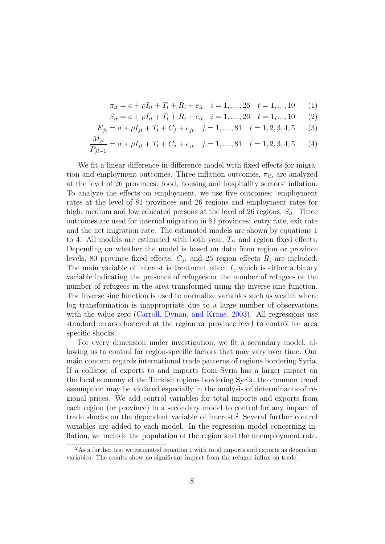$$
\pi_{it} = a + \rho I_{it} + T_t + R_i + e_{it} \quad i = 1, \dots, 26 \quad t = 1, \dots, 10 \tag{1}
$$

$$
S_{it} = a + \rho I_{it} + T_t + R_i + e_{it} \quad i = 1, ..., 26 \quad t = 1, ..., 10 \tag{2}
$$

$$
E_{jt} = a + \rho I_{jt} + T_t + C_j + e_{jt} \quad j = 1, \dots, 81 \quad t = 1, 2, 3, 4, 5 \tag{3}
$$

$$
\frac{M_{jt}}{P_{jt-1}} = a + \rho I_{jt} + T_t + C_j + e_{jt} \quad j = 1, \dots, 81 \quad t = 1, 2, 3, 4, 5 \tag{4}
$$

We fit a linear difference-in-difference model with fixed effects for migration and employment outcomes. Three inflation outcomes,  $\pi_{it}$ , are analyzed at the level of 26 provinces: food, housing and hospitality sectors' inflation. To analyze the effects on employment, we use five outcomes: employment rates at the level of 81 provinces and 26 regions and employment rates for high, medium and low educated persons at the level of 26 regions,  $S_{it}$ . Three outcomes are used for internal migration in 81 provinces: entry rate, exit rate and the net migration rate. The estimated models are shown by equations 1 to 4. All models are estimated with both year,  $T_t$ , and region fixed effects. Depending on whether the model is based on data from region or province levels, 80 province fixed effects,  $C_j$ , and 25 region effects  $R_i$  are included. The main variable of interest is treatment effect  $I$ , which is either a binary variable indicating the presence of refugees or the number of refugees or the number of refugees in the area transformed using the inverse sine function. The inverse sine function is used to normalize variables such as wealth where log transformation is inappropriate due to a large number of observations with the value zero [\(Carroll, Dynan, and Krane,](#page-22-9) [2003\)](#page-22-9). All regressions use standard errors clustered at the region or province level to control for area specific shocks.

For every dimension under investigation, we fit a secondary model, allowing us to control for region-specific factors that may vary over time. Our main concern regards international trade patterns of regions bordering Syria. If a collapse of exports to and imports from Syria has a larger impact on the local economy of the Turkish regions bordering Syria, the common trend assumption may be violated especially in the analysis of determinants of regional prices. We add control variables for total imports and exports from each region (or province) in a secondary model to control for any impact of trade shocks on the dependent variable of interest.<sup>[2](#page-10-0)</sup> Several further control variables are added to each model. In the regression model concerning inflation, we include the population of the region and the unemployment rate.

<span id="page-10-0"></span><sup>&</sup>lt;sup>2</sup>As a further test we estimated equation 1 with total imports and exports as dependent variables. The results show no significant impact from the refugee influx on trade.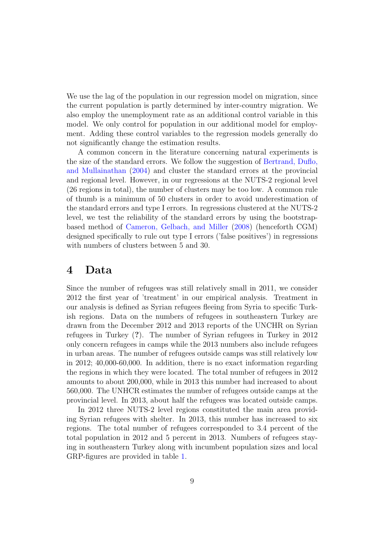We use the lag of the population in our regression model on migration, since the current population is partly determined by inter-country migration. We also employ the unemployment rate as an additional control variable in this model. We only control for population in our additional model for employment. Adding these control variables to the regression models generally do not significantly change the estimation results.

A common concern in the literature concerning natural experiments is the size of the standard errors. We follow the suggestion of [Bertrand, Duflo,](#page-21-6) [and Mullainathan](#page-21-6) [\(2004\)](#page-21-6) and cluster the standard errors at the provincial and regional level. However, in our regressions at the NUTS-2 regional level (26 regions in total), the number of clusters may be too low. A common rule of thumb is a minimum of 50 clusters in order to avoid underestimation of the standard errors and type I errors. In regressions clustered at the NUTS-2 level, we test the reliability of the standard errors by using the bootstrapbased method of [Cameron, Gelbach, and Miller](#page-21-7) [\(2008\)](#page-21-7) (henceforth CGM) designed specifically to rule out type I errors ('false positives') in regressions with numbers of clusters between 5 and 30.

### 4 Data

Since the number of refugees was still relatively small in 2011, we consider 2012 the first year of 'treatment' in our empirical analysis. Treatment in our analysis is defined as Syrian refugees fleeing from Syria to specific Turkish regions. Data on the numbers of refugees in southeastern Turkey are drawn from the December 2012 and 2013 reports of the UNCHR on Syrian refugees in Turkey (?). The number of Syrian refugees in Turkey in 2012 only concern refugees in camps while the 2013 numbers also include refugees in urban areas. The number of refugees outside camps was still relatively low in 2012; 40,000-60,000. In addition, there is no exact information regarding the regions in which they were located. The total number of refugees in 2012 amounts to about 200,000, while in 2013 this number had increased to about 560,000. The UNHCR estimates the number of refugees outside camps at the provincial level. In 2013, about half the refugees was located outside camps.

In 2012 three NUTS-2 level regions constituted the main area providing Syrian refugees with shelter. In 2013, this number has increased to six regions. The total number of refugees corresponded to 3.4 percent of the total population in 2012 and 5 percent in 2013. Numbers of refugees staying in southeastern Turkey along with incumbent population sizes and local GRP-figures are provided in table [1.](#page-12-0)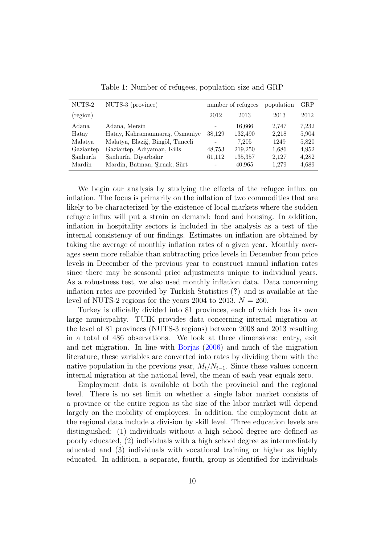<span id="page-12-0"></span>

| NUTS-2    | NUTS-3 (province)                | number of refugees       |         | population | GRP   |
|-----------|----------------------------------|--------------------------|---------|------------|-------|
| (region)  |                                  | 2012                     | 2013    | 2013       | 2012  |
| Adana     | Adana, Mersin                    |                          | 16,666  | 2.747      | 7.232 |
| Hatay     | Hatay, Kahramanmaraş, Osmaniye   | 38,129                   | 132,490 | 2,218      | 5,904 |
| Malatya   | Malatya, Elaziğ, Bingöl, Tunceli |                          | 7.205   | 1249       | 5,820 |
| Gaziantep | Gaziantep, Adıyaman, Kilis       | 48,753                   | 219,250 | 1,686      | 4,952 |
| Sanlıurfa | Şanlıurfa, Diyarbakır            | 61,112                   | 135,357 | 2,127      | 4,282 |
| Mardin    | Mardin, Batman, Şirnak, Siirt    | $\overline{\phantom{a}}$ | 40,965  | 1.279      | 4,689 |

Table 1: Number of refugees, population size and GRP

We begin our analysis by studying the effects of the refugee influx on inflation. The focus is primarily on the inflation of two commodities that are likely to be characterized by the existence of local markets where the sudden refugee influx will put a strain on demand: food and housing. In addition, inflation in hospitality sectors is included in the analysis as a test of the internal consistency of our findings. Estimates on inflation are obtained by taking the average of monthly inflation rates of a given year. Monthly averages seem more reliable than subtracting price levels in December from price levels in December of the previous year to construct annual inflation rates since there may be seasonal price adjustments unique to individual years. As a robustness test, we also used monthly inflation data. Data concerning inflation rates are provided by Turkish Statistics (?) and is available at the level of NUTS-2 regions for the years 2004 to 2013,  $N = 260$ .

Turkey is officially divided into 81 provinces, each of which has its own large municipality. TUIK provides data concerning internal migration at the level of 81 provinces (NUTS-3 regions) between 2008 and 2013 resulting in a total of 486 observations. We look at three dimensions: entry, exit and net migration. In line with [Borjas](#page-21-1) [\(2006\)](#page-21-1) and much of the migration literature, these variables are converted into rates by dividing them with the native population in the previous year,  $M_t/N_{t-1}$ . Since these values concern internal migration at the national level, the mean of each year equals zero.

Employment data is available at both the provincial and the regional level. There is no set limit on whether a single labor market consists of a province or the entire region as the size of the labor market will depend largely on the mobility of employees. In addition, the employment data at the regional data include a division by skill level. Three education levels are distinguished: (1) individuals without a high school degree are defined as poorly educated, (2) individuals with a high school degree as intermediately educated and (3) individuals with vocational training or higher as highly educated. In addition, a separate, fourth, group is identified for individuals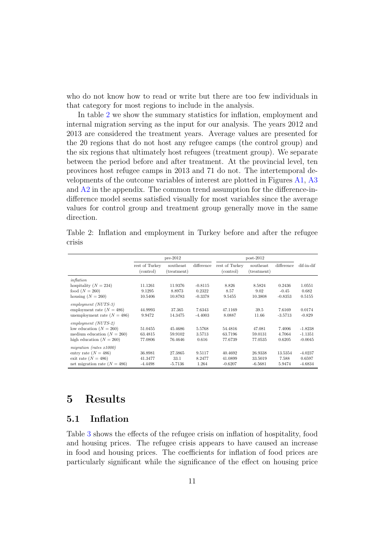who do not know how to read or write but there are too few individuals in that category for most regions to include in the analysis.

In table [2](#page-13-0) we show the summary statistics for inflation, employment and internal migration serving as the input for our analysis. The years 2012 and 2013 are considered the treatment years. Average values are presented for the 20 regions that do not host any refugee camps (the control group) and the six regions that ultimately host refugees (treatment group). We separate between the period before and after treatment. At the provincial level, ten provinces host refugee camps in 2013 and 71 do not. The intertemporal developments of the outcome variables of interest are plotted in Figures [A1,](#page-24-0) [A3](#page-26-0) and [A2](#page-25-0) in the appendix. The common trend assumption for the difference-indifference model seems satisfied visually for most variables since the average values for control group and treatment group generally move in the same direction.

Table 2: Inflation and employment in Turkey before and after the refugee crisis

<span id="page-13-0"></span>

|                                | $pre-2012$                  |                          |            | $post-2012$                 |                          |            |            |
|--------------------------------|-----------------------------|--------------------------|------------|-----------------------------|--------------------------|------------|------------|
|                                | rest of Turkey<br>(control) | southeast<br>(treatment) | difference | rest of Turkey<br>(control) | southeast<br>(treatment) | difference | dif-in-dif |
| inflation                      |                             |                          |            |                             |                          |            |            |
| hospitality $(N = 234)$        | 11.1261                     | 11.9376                  | $-0.8115$  | 8.826                       | 8.5824                   | 0.2436     | 1.0551     |
| food $(N = 260)$               | 9.1295                      | 8.8973                   | 0.2322     | 8.57                        | 9.02                     | $-0.45$    | 0.682      |
| housing $(N = 260)$            | 10.5406                     | 10.8783                  | $-0.3378$  | 9.5455                      | 10.3808                  | $-0.8353$  | 0.5155     |
| $emplyment (NUTS-3)$           |                             |                          |            |                             |                          |            |            |
| employment rate $(N = 486)$    | 44.9993                     | 37.365                   | 7.6343     | 47.1169                     | 39.5                     | 7.6169     | 0.0174     |
| unemployment rate $(N = 486)$  | 9.9472                      | 14.3475                  | $-4.4003$  | 8.0887                      | 11.66                    | $-3.5713$  | $-0.829$   |
| $emplyment (NUTS-2)$           |                             |                          |            |                             |                          |            |            |
| low education $(N = 260)$      | 51.0455                     | 45.4686                  | 5.5768     | 54.4816                     | 47.081                   | 7.4006     | $-1.8238$  |
| medium education $(N = 260)$   | 63.4815                     | 59.9102                  | 3.5713     | 63.7196                     | 59.0131                  | 4.7064     | $-1.1351$  |
| high education $(N = 260)$     | 77.0806                     | 76.4646                  | 0.616      | 77.6739                     | 77.0535                  | 0.6205     | $-0.0045$  |
| migration (rates $x1000$ )     |                             |                          |            |                             |                          |            |            |
| entry rate $(N = 486)$         | 36.8981                     | 27.3865                  | 9.5117     | 40.4692                     | 26.9338                  | 13.5354    | $-4.0237$  |
| exit rate $(N = 486)$          | 41.3477                     | 33.1                     | 8.2477     | 41.0899                     | 33.5019                  | 7.588      | 0.6597     |
| net migration rate $(N = 486)$ | $-4.4498$                   | $-5.7136$                | 1.264      | $-0.6207$                   | $-6.5681$                | 5.9474     | $-4.6834$  |

## 5 Results

#### 5.1 Inflation

Table [3](#page-14-0) shows the effects of the refugee crisis on inflation of hospitality, food and housing prices. The refugee crisis appears to have caused an increase in food and housing prices. The coefficients for inflation of food prices are particularly significant while the significance of the effect on housing price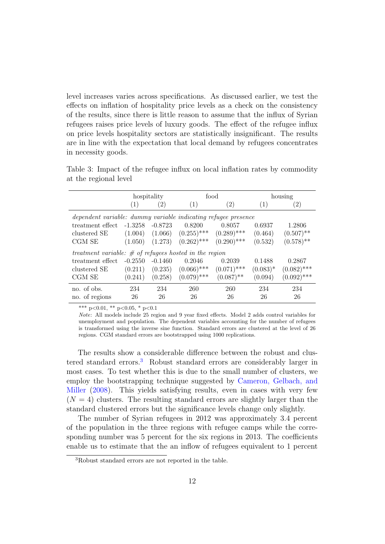level increases varies across specifications. As discussed earlier, we test the effects on inflation of hospitality price levels as a check on the consistency of the results, since there is little reason to assume that the influx of Syrian refugees raises price levels of luxury goods. The effect of the refugee influx on price levels hospitality sectors are statistically insignificant. The results are in line with the expectation that local demand by refugees concentrates in necessity goods.

<span id="page-14-0"></span>

|                                                                | hospitality       |           |               | food              | housing     |                   |
|----------------------------------------------------------------|-------------------|-----------|---------------|-------------------|-------------|-------------------|
|                                                                | $\left( 1\right)$ | (2)       | (1)           | $\left( 2\right)$ | (1)         | $\left( 2\right)$ |
| dependent variable: dummy variable indicating refugee presence |                   |           |               |                   |             |                   |
| treatment effect                                               | $-1.3258$         | $-0.8723$ | 0.8200        | 0.8057            | 0.6937      | 1.2806            |
| clustered SE                                                   | (1.004)           | (1.066)   | $(0.255)$ *** | $(0.289)$ ***     | (0.464)     | $(0.507)$ **      |
| CGM SE                                                         | (1.050)           | (1.273)   | $(0.262)$ *** | $(0.290)$ ***     | (0.532)     | $(0.578)$ **      |
| treatment variable: $\#$ of refugees hosted in the region      |                   |           |               |                   |             |                   |
| treatment effect                                               | $-0.2550$         | $-0.1460$ | 0.2046        | 0.2039            | 0.1488      | 0.2867            |
| clustered SE                                                   | (0.211)           | (0.235)   | $(0.066)$ *** | $(0.071)$ ***     | $(0.083)^*$ | $(0.082)$ ***     |
| CGM SE                                                         | (0.241)           | (0.258)   | $(0.079)$ *** | $(0.087)$ **      | (0.094)     | $(0.092)$ ***     |
| no. of obs.                                                    | 234               | 234       | 260           | 260               | 234         | 234               |
| no. of regions                                                 | 26                | 26        | 26            | 26                | 26          | 26                |

Table 3: Impact of the refugee influx on local inflation rates by commodity at the regional level

\*\*\* p<0.01, \*\* p<0.05, \* p<0.1

Note: All models include 25 region and 9 year fixed effects. Model 2 adds control variables for unemployment and population. The dependent variables accounting for the number of refugees is transformed using the inverse sine function. Standard errors are clustered at the level of 26 regions. CGM standard errors are bootstrapped using 1000 replications.

The results show a considerable difference between the robust and clus-tered standard errors.<sup>[3](#page-14-1)</sup> Robust standard errors are considerably larger in most cases. To test whether this is due to the small number of clusters, we employ the bootstrapping technique suggested by [Cameron, Gelbach, and](#page-21-7) [Miller](#page-21-7) [\(2008\)](#page-21-7). This yields satisfying results, even in cases with very few  $(N = 4)$  clusters. The resulting standard errors are slightly larger than the standard clustered errors but the significance levels change only slightly.

The number of Syrian refugees in 2012 was approximately 3.4 percent of the population in the three regions with refugee camps while the corresponding number was 5 percent for the six regions in 2013. The coefficients enable us to estimate that the an inflow of refugees equivalent to 1 percent

<span id="page-14-1"></span><sup>3</sup>Robust standard errors are not reported in the table.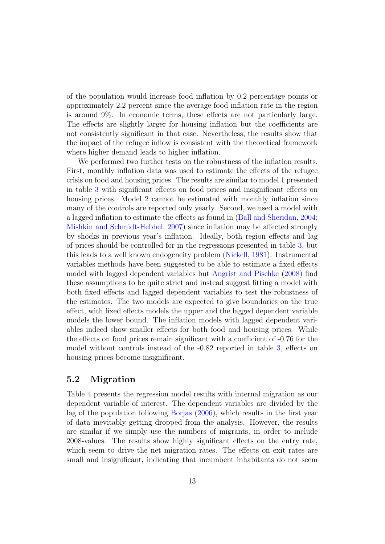of the population would increase food inflation by 0.2 percentage points or approximately 2.2 percent since the average food inflation rate in the region is around 9%. In economic terms, these effects are not particularly large. The effects are slightly larger for housing inflation but the coefficients are not consistently significant in that case. Nevertheless, the results show that the impact of the refugee inflow is consistent with the theoretical framework where higher demand leads to higher inflation.

We performed two further tests on the robustness of the inflation results. First, monthly inflation data was used to estimate the effects of the refugee crisis on food and housing prices. The results are similar to model 1 presented in table [3](#page-14-0) with significant effects on food prices and insignificant effects on housing prices. Model 2 cannot be estimated with monthly inflation since many of the controls are reported only yearly. Second, we used a model with a lagged inflation to estimate the effects as found in [\(Ball and Sheridan,](#page-21-8) [2004;](#page-21-8) [Mishkin and Schmidt-Hebbel,](#page-23-5) [2007\)](#page-23-5) since inflation may be affected strongly by shocks in previous year's inflation. Ideally, both region effects and lag of prices should be controlled for in the regressions presented in table [3,](#page-14-0) but this leads to a well known endogeneity problem [\(Nickell,](#page-23-6) [1981\)](#page-23-6). Instrumental variables methods have been suggested to be able to estimate a fixed effects model with lagged dependent variables but [Angrist and Pischke](#page-21-9) [\(2008\)](#page-21-9) find these assumptions to be quite strict and instead suggest fitting a model with both fixed effects and lagged dependent variables to test the robustness of the estimates. The two models are expected to give boundaries on the true effect, with fixed effects models the upper and the lagged dependent variable models the lower bound. The inflation models with lagged dependent variables indeed show smaller effects for both food and housing prices. While the effects on food prices remain significant with a coefficient of -0.76 for the model without controls instead of the -0.82 reported in table [3,](#page-14-0) effects on housing prices become insignificant.

#### 5.2 Migration

Table [4](#page-16-0) presents the regression model results with internal migration as our dependent variable of interest. The dependent variables are divided by the lag of the population following [Borjas](#page-21-1) [\(2006\)](#page-21-1), which results in the first year of data inevitably getting dropped from the analysis. However, the results are similar if we simply use the numbers of migrants, in order to include 2008-values. The results show highly significant effects on the entry rate, which seem to drive the net migration rates. The effects on exit rates are small and insignificant, indicating that incumbent inhabitants do not seem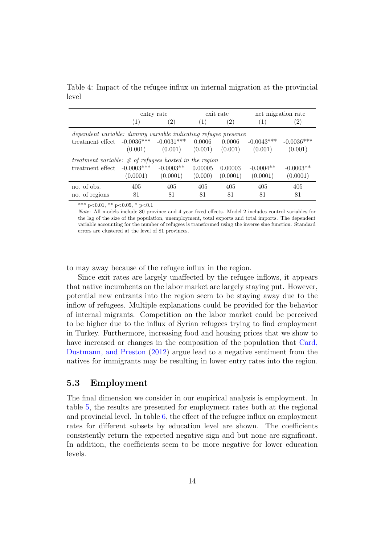Table 4: Impact of the refugee influx on internal migration at the provincial level

<span id="page-16-0"></span>

|                                                                | entry rate       |              |                  | exit rate | net migration rate |                   |  |
|----------------------------------------------------------------|------------------|--------------|------------------|-----------|--------------------|-------------------|--|
|                                                                | $\left(1\right)$ | (2)          | $\left(1\right)$ | (2)       | $\left(1\right)$   | $\left( 2\right)$ |  |
| dependent variable: dummy variable indicating refugee presence |                  |              |                  |           |                    |                   |  |
| treatment effect                                               | $-0.0036***$     | $-0.0031***$ | 0.0006           | 0.0006    | $-0.0043***$       | $-0.0036***$      |  |
|                                                                | (0.001)          | (0.001)      | (0.001)          | (0.001)   | (0.001)            | (0.001)           |  |
| treatment variable: $\#$ of refugees hosted in the region      |                  |              |                  |           |                    |                   |  |
| treatment effect                                               | $-0.0003$ ***    | $-0.0003**$  | 0.00005          | 0.00003   | $-0.0004**$        | $-0.0003**$       |  |
|                                                                | (0.0001)         | (0.0001)     | (0.000)          | (0.0001)  | (0.0001)           | (0.0001)          |  |
| no. of obs.                                                    | 405              | 405          | 405              | 405       | 405                | 405               |  |
| no. of regions                                                 | 81               | 81           | 81               | 81        | 81                 | 81                |  |

\*\*\* p<0.01, \*\* p<0.05, \* p<0.1

Note: All models include 80 province and 4 year fixed effects. Model 2 includes control variables for the lag of the size of the population, unemployment, total exports and total imports. The dependent variable accounting for the number of refugees is transformed using the inverse sine function. Standard errors are clustered at the level of 81 provinces.

to may away because of the refugee influx in the region.

Since exit rates are largely unaffected by the refugee inflows, it appears that native incumbents on the labor market are largely staying put. However, potential new entrants into the region seem to be staying away due to the inflow of refugees. Multiple explanations could be provided for the behavior of internal migrants. Competition on the labor market could be perceived to be higher due to the influx of Syrian refugees trying to find employment in Turkey. Furthermore, increasing food and housing prices that we show to have increased or changes in the composition of the population that [Card,](#page-22-10) [Dustmann, and Preston](#page-22-10) [\(2012\)](#page-22-10) argue lead to a negative sentiment from the natives for immigrants may be resulting in lower entry rates into the region.

#### 5.3 Employment

The final dimension we consider in our empirical analysis is employment. In table [5,](#page-17-0) the results are presented for employment rates both at the regional and provincial level. In table  $6$ , the effect of the refugee influx on employment rates for different subsets by education level are shown. The coefficients consistently return the expected negative sign and but none are significant. In addition, the coefficients seem to be more negative for lower education levels.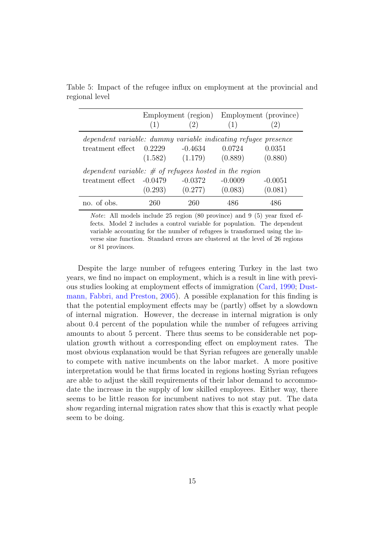Table 5: Impact of the refugee influx on employment at the provincial and regional level

<span id="page-17-0"></span>

|                                                                | (1)     | (2)                           | (1)       | Employment (region) Employment (province) |
|----------------------------------------------------------------|---------|-------------------------------|-----------|-------------------------------------------|
|                                                                |         |                               |           |                                           |
| dependent variable: dummy variable indicating refugee presence |         |                               |           |                                           |
| treatment effect $0.2229$                                      |         | -0.4634                       | 0.0724    | 0.0351                                    |
|                                                                |         | $(1.582)$ $(1.179)$ $(0.889)$ |           | (0.880)                                   |
| dependent variable: $\#$ of refugees hosted in the region      |         |                               |           |                                           |
| treatment effect -0.0479                                       |         | $-0.0372$                     | $-0.0009$ | $-0.0051$                                 |
|                                                                | (0.293) | (0.277)                       | (0.083)   | (0.081)                                   |
| no. of obs.                                                    | 260     | 260                           | 486       | 486                                       |

Note: All models include 25 region (80 province) and 9 (5) year fixed effects. Model 2 includes a control variable for population. The dependent variable accounting for the number of refugees is transformed using the inverse sine function. Standard errors are clustered at the level of 26 regions or 81 provinces.

Despite the large number of refugees entering Turkey in the last two years, we find no impact on employment, which is a result in line with previous studies looking at employment effects of immigration [\(Card,](#page-21-4) [1990;](#page-21-4) [Dust](#page-22-11)[mann, Fabbri, and Preston,](#page-22-11) [2005\)](#page-22-11). A possible explanation for this finding is that the potential employment effects may be (partly) offset by a slowdown of internal migration. However, the decrease in internal migration is only about 0.4 percent of the population while the number of refugees arriving amounts to about 5 percent. There thus seems to be considerable net population growth without a corresponding effect on employment rates. The most obvious explanation would be that Syrian refugees are generally unable to compete with native incumbents on the labor market. A more positive interpretation would be that firms located in regions hosting Syrian refugees are able to adjust the skill requirements of their labor demand to accommodate the increase in the supply of low skilled employees. Either way, there seems to be little reason for incumbent natives to not stay put. The data show regarding internal migration rates show that this is exactly what people seem to be doing.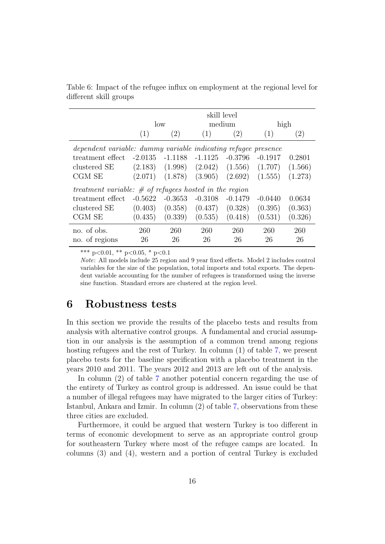<span id="page-18-0"></span>

|                                                                | skill level |            |           |           |           |                   |  |
|----------------------------------------------------------------|-------------|------------|-----------|-----------|-----------|-------------------|--|
|                                                                | low         |            |           | medium    |           | high              |  |
|                                                                | (1)         | (2)        | (1)       | (2)       | (1)       | $\left( 2\right)$ |  |
| dependent variable: dummy variable indicating refugee presence |             |            |           |           |           |                   |  |
| treatment effect                                               | $-2.0135$   | $-1.1188$  | $-1.1125$ | $-0.3796$ | $-0.1917$ | 0.2801            |  |
| clustered SE                                                   | (2.183)     | (1.998)    | (2.042)   | (1.556)   | (1.707)   | (1.566)           |  |
| CGM SE                                                         | (2.071)     | (1.878)    | (3.905)   | (2.692)   | (1.555)   | (1.273)           |  |
| treatment variable: $\#$ of refugees hosted in the region      |             |            |           |           |           |                   |  |
| treatment effect                                               | $-0.5622$   | $-0.3653$  | $-0.3108$ | $-0.1479$ | $-0.0440$ | 0.0634            |  |
| clustered SE                                                   | (0.403)     | (0.358)    | (0.437)   | (0.328)   | (0.395)   | (0.363)           |  |
| CGM SE                                                         | (0.435)     | (0.339)    | (0.535)   | (0.418)   | (0.531)   | (0.326)           |  |
| no. of obs.                                                    | 260         | <b>260</b> | 260       | 260       | 260       | 260               |  |
| no. of regions                                                 | 26          | 26         | 26        | 26        | 26        | 26                |  |

Table 6: Impact of the refugee influx on employment at the regional level for different skill groups

\*\*\* p<0.01, \*\* p<0.05, \* p<0.1

Note: All models include 25 region and 9 year fixed effects. Model 2 includes control variables for the size of the population, total imports and total exports. The dependent variable accounting for the number of refugees is transformed using the inverse sine function. Standard errors are clustered at the region level.

#### 6 Robustness tests

In this section we provide the results of the placebo tests and results from analysis with alternative control groups. A fundamental and crucial assumption in our analysis is the assumption of a common trend among regions hosting refugees and the rest of Turkey. In column (1) of table [7,](#page-19-0) we present placebo tests for the baseline specification with a placebo treatment in the years 2010 and 2011. The years 2012 and 2013 are left out of the analysis.

In column (2) of table [7](#page-19-0) another potential concern regarding the use of the entirety of Turkey as control group is addressed. An issue could be that a number of illegal refugees may have migrated to the larger cities of Turkey: Istanbul, Ankara and Izmir. In column (2) of table [7,](#page-19-0) observations from these three cities are excluded.

Furthermore, it could be argued that western Turkey is too different in terms of economic development to serve as an appropriate control group for southeastern Turkey where most of the refugee camps are located. In columns (3) and (4), western and a portion of central Turkey is excluded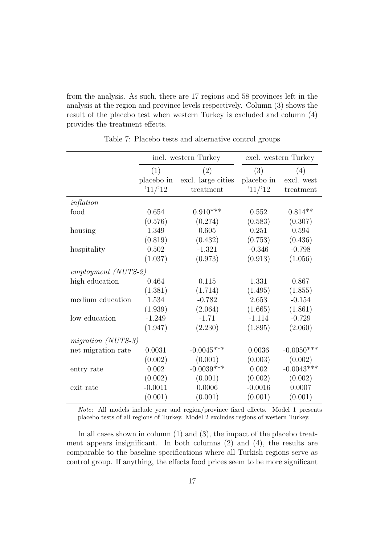from the analysis. As such, there are 17 regions and 58 provinces left in the analysis at the region and province levels respectively. Column (3) shows the result of the placebo test when western Turkey is excluded and column (4) provides the treatment effects.

<span id="page-19-0"></span>

|                      |            | incl. western Turkey |            | excl. western Turkey |
|----------------------|------------|----------------------|------------|----------------------|
|                      | (1)        | (2)                  | (3)        | (4)                  |
|                      | placebo in | excl. large cities   | placebo in | excl. west           |
|                      | '11/12     | treatment            | '11/12     | treatment            |
| inflation            |            |                      |            |                      |
| food                 | 0.654      | $0.910***$           | 0.552      | $0.814**$            |
|                      | (0.576)    | (0.274)              | (0.583)    | (0.307)              |
| housing              | 1.349      | 0.605                | 0.251      | 0.594                |
|                      | (0.819)    | (0.432)              | (0.753)    | (0.436)              |
| hospitality          | 0.502      | $-1.321$             | $-0.346$   | $-0.798$             |
|                      | (1.037)    | (0.973)              | (0.913)    | (1.056)              |
| $emplyment (NUTS-2)$ |            |                      |            |                      |
| high education       | 0.464      | 0.115                | 1.331      | 0.867                |
|                      | (1.381)    | (1.714)              | (1.495)    | (1.855)              |
| medium education     | 1.534      | $-0.782$             | 2.653      | $-0.154$             |
|                      | (1.939)    | (2.064)              | (1.665)    | (1.861)              |
| low education        | $-1.249$   | $-1.71$              | $-1.114$   | $-0.729$             |
|                      | (1.947)    | (2.230)              | (1.895)    | (2.060)              |
| migration $(NUTS-3)$ |            |                      |            |                      |
| net migration rate   | 0.0031     | $-0.0045***$         | 0.0036     | $-0.0050***$         |
|                      | (0.002)    | (0.001)              | (0.003)    | (0.002)              |
| entry rate           | 0.002      | $-0.0039***$         | 0.002      | $-0.0043***$         |
|                      | (0.002)    | (0.001)              | (0.002)    | (0.002)              |
| exit rate            | $-0.0011$  | 0.0006               | $-0.0016$  | 0.0007               |
|                      | (0.001)    | (0.001)              | (0.001)    | (0.001)              |

Table 7: Placebo tests and alternative control groups

Note: All models include year and region/province fixed effects. Model 1 presents placebo tests of all regions of Turkey. Model 2 excludes regions of western Turkey.

In all cases shown in column (1) and (3), the impact of the placebo treatment appears insignificant. In both columns (2) and (4), the results are comparable to the baseline specifications where all Turkish regions serve as control group. If anything, the effects food prices seem to be more significant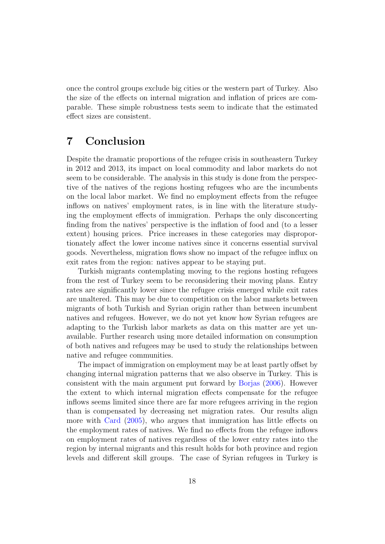once the control groups exclude big cities or the western part of Turkey. Also the size of the effects on internal migration and inflation of prices are comparable. These simple robustness tests seem to indicate that the estimated effect sizes are consistent.

## 7 Conclusion

Despite the dramatic proportions of the refugee crisis in southeastern Turkey in 2012 and 2013, its impact on local commodity and labor markets do not seem to be considerable. The analysis in this study is done from the perspective of the natives of the regions hosting refugees who are the incumbents on the local labor market. We find no employment effects from the refugee inflows on natives' employment rates, is in line with the literature studying the employment effects of immigration. Perhaps the only disconcerting finding from the natives' perspective is the inflation of food and (to a lesser extent) housing prices. Price increases in these categories may disproportionately affect the lower income natives since it concerns essential survival goods. Nevertheless, migration flows show no impact of the refugee influx on exit rates from the region: natives appear to be staying put.

Turkish migrants contemplating moving to the regions hosting refugees from the rest of Turkey seem to be reconsidering their moving plans. Entry rates are significantly lower since the refugee crisis emerged while exit rates are unaltered. This may be due to competition on the labor markets between migrants of both Turkish and Syrian origin rather than between incumbent natives and refugees. However, we do not yet know how Syrian refugees are adapting to the Turkish labor markets as data on this matter are yet unavailable. Further research using more detailed information on consumption of both natives and refugees may be used to study the relationships between native and refugee communities.

The impact of immigration on employment may be at least partly offset by changing internal migration patterns that we also observe in Turkey. This is consistent with the main argument put forward by [Borjas](#page-21-1) [\(2006\)](#page-21-1). However the extent to which internal migration effects compensate for the refugee inflows seems limited since there are far more refugees arriving in the region than is compensated by decreasing net migration rates. Our results align more with [Card](#page-21-2) [\(2005\)](#page-21-2), who argues that immigration has little effects on the employment rates of natives. We find no effects from the refugee inflows on employment rates of natives regardless of the lower entry rates into the region by internal migrants and this result holds for both province and region levels and different skill groups. The case of Syrian refugees in Turkey is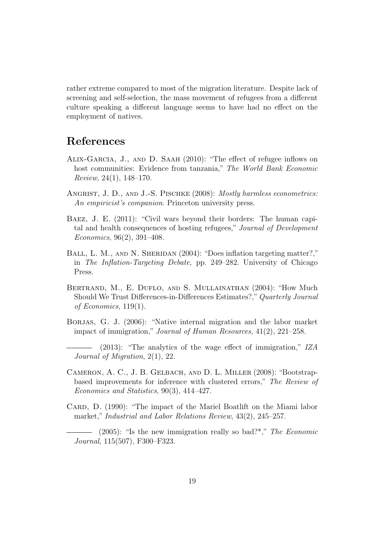rather extreme compared to most of the migration literature. Despite lack of screening and self-selection, the mass movement of refugees from a different culture speaking a different language seems to have had no effect on the employment of natives.

## References

- <span id="page-21-3"></span>Alix-Garcia, J., and D. Saah (2010): "The effect of refugee inflows on host communities: Evidence from tanzania," The World Bank Economic Review, 24(1), 148–170.
- <span id="page-21-9"></span>ANGRIST, J. D., AND J.-S. PISCHKE (2008): *Mostly harmless econometrics:* An empiricist's companion. Princeton university press.
- <span id="page-21-5"></span>Baez, J. E. (2011): "Civil wars beyond their borders: The human capital and health consequences of hosting refugees," Journal of Development Economics, 96(2), 391–408.
- <span id="page-21-8"></span>BALL, L. M., AND N. SHERIDAN (2004): "Does inflation targeting matter?," in The Inflation-Targeting Debate, pp. 249–282. University of Chicago Press.
- <span id="page-21-6"></span>Bertrand, M., E. Duflo, and S. Mullainathan (2004): "How Much Should We Trust Differences-in-Differences Estimates?,"Quarterly Journal of Economics, 119(1).
- <span id="page-21-1"></span>BORJAS, G. J. (2006): "Native internal migration and the labor market impact of immigration," Journal of Human Resources, 41(2), 221–258.
- <span id="page-21-0"></span>(2013): "The analytics of the wage effect of immigration," IZA Journal of Migration, 2(1), 22.
- <span id="page-21-7"></span>Cameron, A. C., J. B. Gelbach, and D. L. Miller (2008): "Bootstrapbased improvements for inference with clustered errors," The Review of Economics and Statistics, 90(3), 414–427.
- <span id="page-21-4"></span>CARD, D. (1990): "The impact of the Mariel Boatlift on the Miami labor market," Industrial and Labor Relations Review, 43(2), 245–257.
- <span id="page-21-2"></span> $(2005)$ : "Is the new immigration really so bad?"," The Economic Journal, 115(507), F300–F323.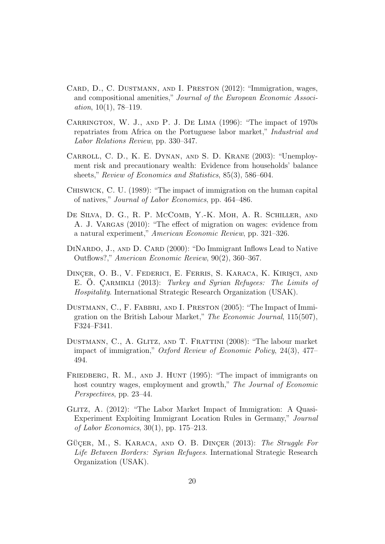- <span id="page-22-10"></span>Card, D., C. Dustmann, and I. Preston (2012): "Immigration, wages, and compositional amenities," Journal of the European Economic Association,  $10(1)$ , 78-119.
- <span id="page-22-1"></span>Carrington, W. J., and P. J. De Lima (1996): "The impact of 1970s repatriates from Africa on the Portuguese labor market," Industrial and Labor Relations Review, pp. 330–347.
- <span id="page-22-9"></span>Carroll, C. D., K. E. Dynan, and S. D. Krane (2003): "Unemployment risk and precautionary wealth: Evidence from households' balance sheets," Review of Economics and Statistics, 85(3), 586–604.
- <span id="page-22-6"></span>Chiswick, C. U. (1989): "The impact of immigration on the human capital of natives," Journal of Labor Economics, pp. 464–486.
- <span id="page-22-8"></span>DE SILVA, D. G., R. P. MCCOMB, Y.-K. MOH, A. R. SCHILLER, AND A. J. VARGAS (2010): "The effect of migration on wages: evidence from a natural experiment," American Economic Review, pp. 321–326.
- <span id="page-22-7"></span>DINARDO, J., AND D. CARD (2000): "Do Immigrant Inflows Lead to Native Outflows?," American Economic Review, 90(2), 360–367.
- <span id="page-22-5"></span>DINÇER, O. B., V. FEDERICI, E. FERRIS, S. KARACA, K. KIRIŞCI, AND E. O. ÇARMIKLI (2013): Turkey and Syrian Refugees: The Limits of Hospitality. International Strategic Research Organization (USAK).
- <span id="page-22-11"></span>DUSTMANN, C., F. FABBRI, AND I. PRESTON (2005): "The Impact of Immigration on the British Labour Market," The Economic Journal, 115(507), F324–F341.
- <span id="page-22-0"></span>Dustmann, C., A. Glitz, and T. Frattini (2008): "The labour market impact of immigration," Oxford Review of Economic Policy, 24(3), 477– 494.
- <span id="page-22-3"></span>FRIEDBERG, R. M., AND J. HUNT (1995): "The impact of immigrants on host country wages, employment and growth," The Journal of Economic Perspectives, pp. 23–44.
- <span id="page-22-2"></span>Glitz, A. (2012): "The Labor Market Impact of Immigration: A Quasi-Experiment Exploiting Immigrant Location Rules in Germany," Journal of Labor Economics, 30(1), pp. 175–213.
- <span id="page-22-4"></span>GÜCER, M., S. KARACA, AND O. B. DINCER (2013): The Struggle For Life Between Borders: Syrian Refugees. International Strategic Research Organization (USAK).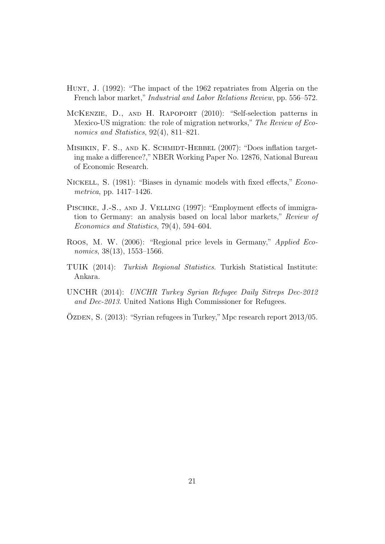- <span id="page-23-0"></span>Hunt, J. (1992): "The impact of the 1962 repatriates from Algeria on the French labor market," Industrial and Labor Relations Review, pp. 556–572.
- <span id="page-23-1"></span>McKenzie, D., and H. Rapoport (2010): "Self-selection patterns in Mexico-US migration: the role of migration networks," The Review of Economics and Statistics, 92(4), 811–821.
- <span id="page-23-5"></span>MISHKIN, F. S., AND K. SCHMIDT-HEBBEL (2007): "Does inflation targeting make a difference?," NBER Working Paper No. 12876, National Bureau of Economic Research.
- <span id="page-23-6"></span>Nickell, S. (1981): "Biases in dynamic models with fixed effects," Econometrica, pp. 1417–1426.
- <span id="page-23-4"></span>PISCHKE, J.-S., AND J. VELLING (1997): "Employment effects of immigration to Germany: an analysis based on local labor markets," Review of Economics and Statistics, 79(4), 594–604.
- <span id="page-23-3"></span>Roos, M. W. (2006): "Regional price levels in Germany," Applied Economics, 38(13), 1553–1566.
- TUIK (2014): Turkish Regional Statistics. Turkish Statistical Institute: Ankara.
- UNCHR (2014): UNCHR Turkey Syrian Refugee Daily Sitreps Dec-2012 and Dec-2013. United Nations High Commissioner for Refugees.
- <span id="page-23-2"></span> $Oz$ DEN, S.  $(2013)$ : "Syrian refugees in Turkey," Mpc research report  $2013/05$ .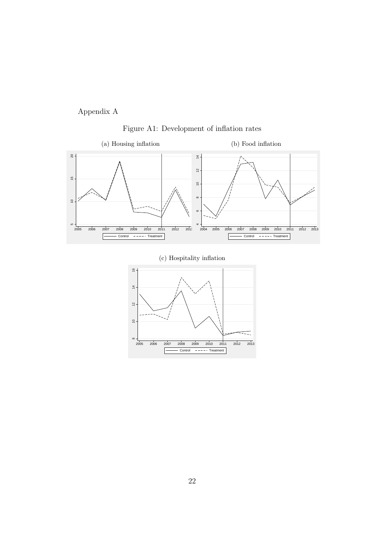Appendix A



<span id="page-24-0"></span>



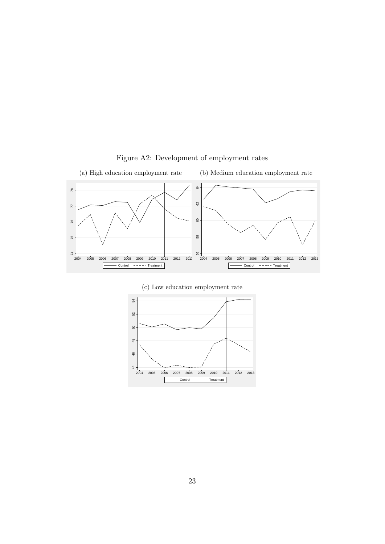<span id="page-25-0"></span>

Figure A2: Development of employment rates